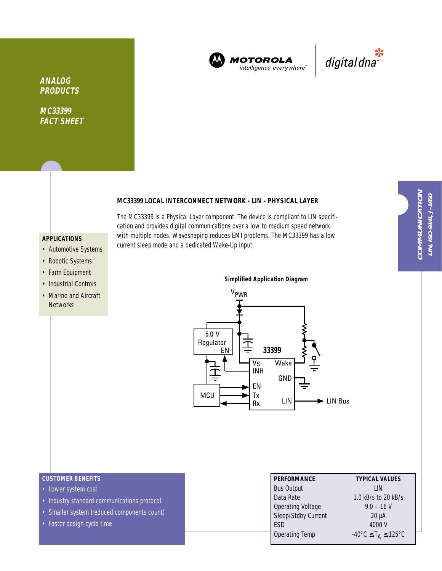

**MOTOROLA** intelligence everywhere"



**ANALOG PRODUCTS**

**MC33399 FACT SHEET**

# **MC33399 LOCAL INTERCONNECT NETWORK - LIN - PHYSICAL LAYER**

The MC33399 is a Physical Layer component. The device is compliant to LIN specification and provides digital communications over a low to medium speed network with multiple nodes. Waveshaping reduces EMI problems. The MC33399 has a low current sleep mode and a dedicated Wake-Up input.

# **APPLICATIONS**

- Automotive Systems
- Robotic Systems
- Farm Equipment
- Industrial Controls
- Marine and Aircraft **Networks**

**Simplified Application Diagram**VPWR 5.0 V Regulator<br>EN EN **33399** V<sub>S</sub> Wake 立 INH GND EN MCU Tx LIN LIN Bus Rx

- Lower system cost
- Industry standard communications protocol
- Smaller system (reduced components count)
- Faster design cycle time

| <b>PERFORMANCE</b>       | <b>TYPICAL VALUES</b>                              |
|--------------------------|----------------------------------------------------|
| <b>Bus Output</b>        | l IN                                               |
| Data Rate                | 1.0 kB/s to 20 kB/s                                |
| <b>Operating Voltage</b> | $9.0 - 16$ V                                       |
| Sleep/Stdby Current      | $20 \mu A$                                         |
| ESD                      | 4000 V                                             |
| <b>Operating Temp</b>    | $-40^{\circ}$ C $\leq$ T <sub>A</sub> $\leq$ 125°C |
|                          |                                                    |